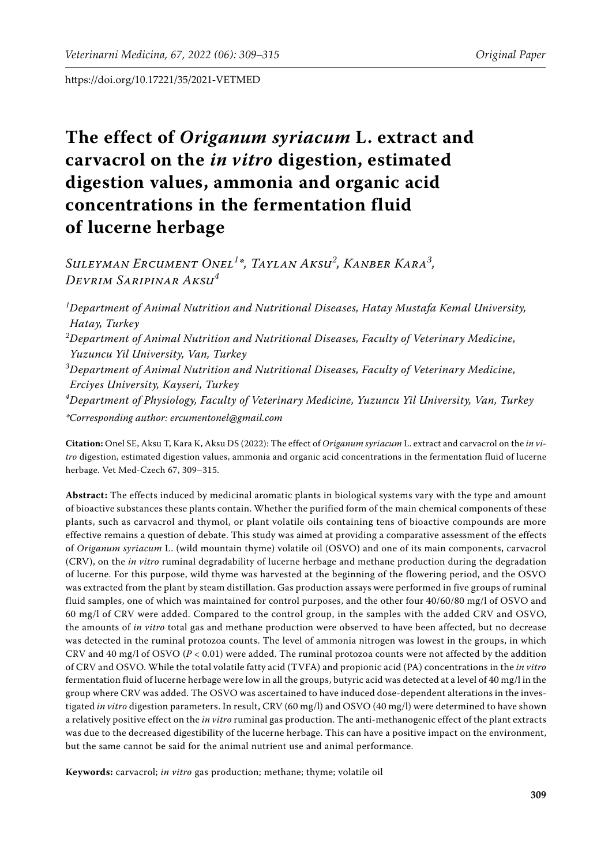# **The effect of** *Origanum syriacum* **L. extract and carvacrol on the** *in vitro* **digestion, estimated digestion values, ammonia and organic acid concentrations in the fermentation fluid of lucerne herbage**

*Suleyman Ercument Onel<sup>1</sup> \*, Taylan Aksu<sup>2</sup> , Kanber Kara<sup>3</sup> , Devrim Saripinar Aksu<sup>4</sup>*

*1 Department of Animal Nutrition and Nutritional Diseases, Hatay Mustafa Kemal University, Hatay, Turkey 2 Department of Animal Nutrition and Nutritional Diseases, Faculty of Veterinary Medicine, Yuzuncu Yil University, Van, Turkey 3 Department of Animal Nutrition and Nutritional Diseases, Faculty of Veterinary Medicine, Erciyes University, Kayseri, Turkey 4 Department of Physiology, Faculty of Veterinary Medicine, Yuzuncu Yil University, Van, Turkey \*Corresponding author: ercumentonel@gmail.com*

**Citation:** Onel SE, Aksu T, Kara K, Aksu DS (2022): The effect of *Origanum syriacum* L. extract and carvacrol on the *in vitro* digestion, estimated digestion values, ammonia and organic acid concentrations in the fermentation fluid of lucerne herbage. Vet Med-Czech 67, 309–315.

**Abstract:** The effects induced by medicinal aromatic plants in biological systems vary with the type and amount of bioactive substances these plants contain. Whether the purified form of the main chemical components of these plants, such as carvacrol and thymol, or plant volatile oils containing tens of bioactive compounds are more effective remains a question of debate. This study was aimed at providing a comparative assessment of the effects of *Origanum syriacum* L. (wild mountain thyme) volatile oil (OSVO) and one of its main components, carvacrol (CRV), on the *in vitro* ruminal degradability of lucerne herbage and methane production during the degradation of lucerne. For this purpose, wild thyme was harvested at the beginning of the flowering period, and the OSVO was extracted from the plant by steam distillation. Gas production assays were performed in five groups of ruminal fluid samples, one of which was maintained for control purposes, and the other four 40/60/80 mg/l of OSVO and 60 mg/l of CRV were added. Compared to the control group, in the samples with the added CRV and OSVO, the amounts of *in vitro* total gas and methane production were observed to have been affected, but no decrease was detected in the ruminal protozoa counts. The level of ammonia nitrogen was lowest in the groups, in which CRV and 40 mg/l of OSVO ( $P < 0.01$ ) were added. The ruminal protozoa counts were not affected by the addition of CRV and OSVO. While the total volatile fatty acid (TVFA) and propionic acid (PA) concentrations in the *in vitro* fermentation fluid of lucerne herbage were low in all the groups, butyric acid was detected at a level of 40 mg/l in the group where CRV was added. The OSVO was ascertained to have induced dose-dependent alterations in the investigated *in vitro* digestion parameters. In result, CRV (60 mg/l) and OSVO (40 mg/l) were determined to have shown a relatively positive effect on the *in vitro* ruminal gas production. The anti-methanogenic effect of the plant extracts was due to the decreased digestibility of the lucerne herbage. This can have a positive impact on the environment, but the same cannot be said for the animal nutrient use and animal performance.

**Keywords:** carvacrol; *in vitro* gas production; methane; thyme; volatile oil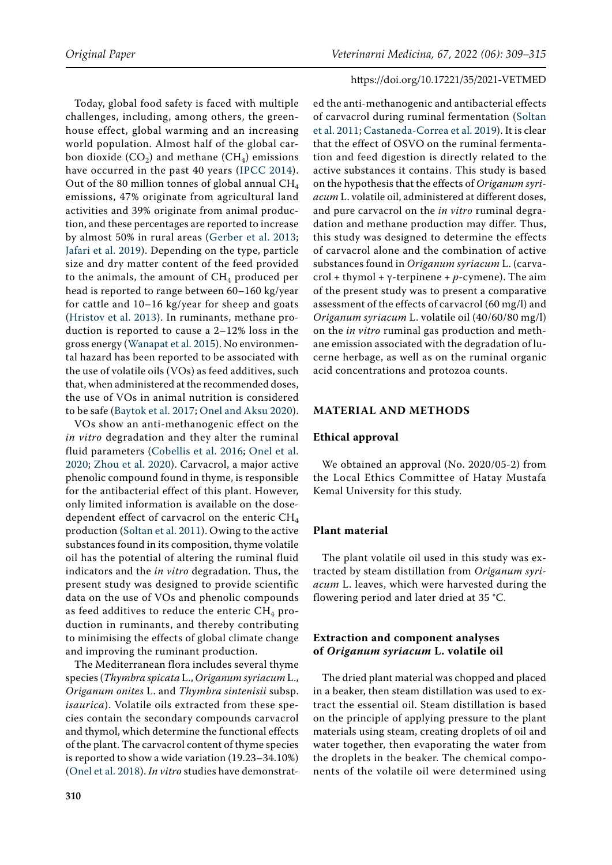Today, global food safety is faced with multiple challenges, including, among others, the greenhouse effect, global warming and an increasing world population. Almost half of the global carbon dioxide  $(CO_2)$  and methane  $(CH_4)$  emissions have occurred in the past 40 years ([IPCC 2014](#page-6-0)). Out of the 80 million tonnes of global annual CH<sub>4</sub> emissions, 47% originate from agricultural land activities and 39% originate from animal production, and these percentages are reported to increase by almost 50% in rural areas ([Gerber et al. 2013](#page-6-1); [Jafari et al. 2019](#page-6-2)). Depending on the type, particle size and dry matter content of the feed provided to the animals, the amount of  $CH<sub>4</sub>$  produced per head is reported to range between 60–160 kg/year for cattle and 10–16 kg/year for sheep and goats [\(Hristov et al. 2013](#page-6-3)). In ruminants, methane production is reported to cause a 2–12% loss in the gross energy ([Wanapat et al. 2015\)](#page-6-4). No environmental hazard has been reported to be associated with the use of volatile oils (VOs) as feed additives, such that, when administered at the recommended doses, the use of VOs in animal nutrition is considered to be safe ([Baytok et al. 2017;](#page-5-0) [Onel and Aksu 2020\)](#page-6-5).

VOs show an anti-methanogenic effect on the *in vitro* degradation and they alter the ruminal fluid parameters ([Cobellis et al. 2016;](#page-5-1) [Onel et al.](#page-6-6)  [2020;](#page-6-6) [Zhou et al. 2020](#page-6-7)). Carvacrol, a major active phenolic compound found in thyme, is responsible for the antibacterial effect of this plant. However, only limited information is available on the dosedependent effect of carvacrol on the enteric  $CH<sub>4</sub>$ production ([Soltan et al. 2011\)](#page-6-8). Owing to the active substances found in its composition, thyme volatile oil has the potential of altering the ruminal fluid indicators and the *in vitro* degradation. Thus, the present study was designed to provide scientific data on the use of VOs and phenolic compounds as feed additives to reduce the enteric  $CH_4$  production in ruminants, and thereby contributing to minimising the effects of global climate change and improving the ruminant production.

The Mediterranean flora includes several thyme species (*Thymbra spicata* L., *Origanum syriacum* L., *Origanum onites* L. and *Thymbra sintenisii* subsp. *isaurica*). Volatile oils extracted from these species contain the secondary compounds carvacrol and thymol, which determine the functional effects of the plant. The carvacrol content of thyme species is reported to show a wide variation (19.23–34.10%) [\(Onel et al. 2018](#page-6-9)). *In vitro* studies have demonstrat-

ed the anti-methanogenic and antibacterial effects of carvacrol during ruminal fermentation [\(Soltan](#page-6-8) [et al. 2011](#page-6-8); [Castaneda-Correa et al. 2019](#page-5-2)). It is clear that the effect of OSVO on the ruminal fermentation and feed digestion is directly related to the active substances it contains. This study is based on the hypothesis that the effects of *Origanum syriacum* L. volatile oil, administered at different doses, and pure carvacrol on the *in vitro* ruminal degradation and methane production may differ. Thus, this study was designed to determine the effects of carvacrol alone and the combination of active substances found in *Origanum syriacum* L. (carvacrol + thymol + γ-terpinene + *p*-cymene). The aim of the present study was to present a comparative assessment of the effects of carvacrol (60 mg/l) and *Origanum syriacum* L. volatile oil (40/60/80 mg/l) on the *in vitro* ruminal gas production and methane emission associated with the degradation of lucerne herbage, as well as on the ruminal organic acid concentrations and protozoa counts.

# **MATERIAL AND METHODS**

#### **Ethical approval**

We obtained an approval (No. 2020/05-2) from the Local Ethics Committee of Hatay Mustafa Kemal University for this study.

## **Plant material**

The plant volatile oil used in this study was extracted by steam distillation from *Origanum syriacum* L. leaves, which were harvested during the flowering period and later dried at 35 °C.

## **Extraction and component analyses of** *Origanum syriacum* **L. volatile oil**

The dried plant material was chopped and placed in a beaker, then steam distillation was used to extract the essential oil. Steam distillation is based on the principle of applying pressure to the plant materials using steam, creating droplets of oil and water together, then evaporating the water from the droplets in the beaker. The chemical components of the volatile oil were determined using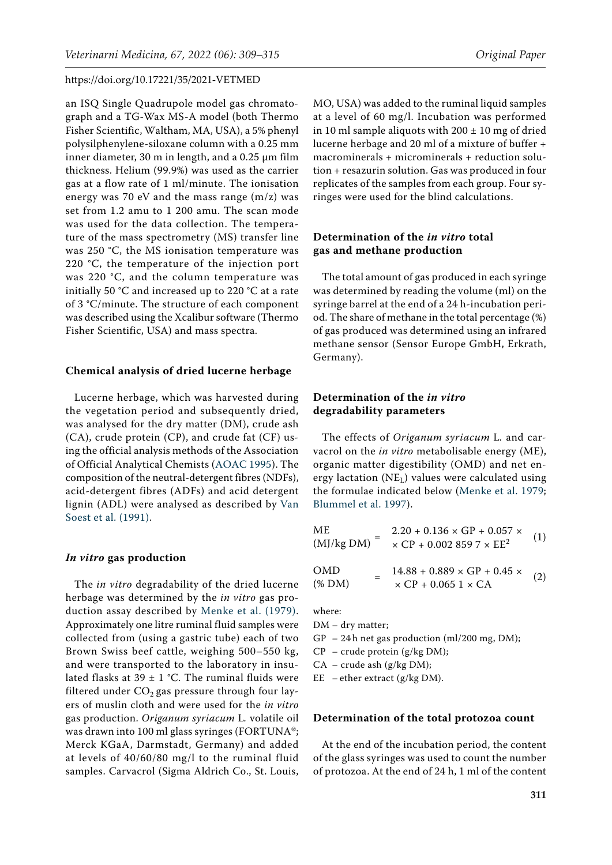an ISQ Single Quadrupole model gas chromatograph and a TG-Wax MS-A model (both Thermo Fisher Scientific, Waltham, MA, USA), a 5% phenyl polysilphenylene-siloxane column with a 0.25 mm inner diameter, 30 m in length, and a 0.25 µm film thickness. Helium (99.9%) was used as the carrier gas at a flow rate of 1 ml/minute. The ionisation energy was 70 eV and the mass range (m/z) was set from 1.2 amu to 1 200 amu. The scan mode was used for the data collection. The temperature of the mass spectrometry (MS) transfer line was 250 °C, the MS ionisation temperature was 220 °C, the temperature of the injection port was 220 °C, and the column temperature was initially 50 °C and increased up to 220 °C at a rate of 3 °C/minute. The structure of each component was described using the Xcalibur software (Thermo Fisher Scientific, USA) and mass spectra.

#### **Chemical analysis of dried lucerne herbage**

Lucerne herbage, which was harvested during the vegetation period and subsequently dried, was analysed for the dry matter (DM), crude ash (CA), crude protein (CP), and crude fat (CF) using the official analysis methods of the Association of Official Analytical Chemists [\(AOAC 1995](#page-5-3)). The composition of the neutral-detergent fibres (NDFs), acid-detergent fibres (ADFs) and acid detergent lignin (ADL) were analysed as described by [Van](#page-6-10)  [Soest et al. \(1991\)](#page-6-10).

## *In vitro* **gas production**

The *in vitro* degradability of the dried lucerne herbage was determined by the *in vitro* gas production assay described by [Menke et al. \(1979\)](#page-6-11). Approximately one litre ruminal fluid samples were collected from (using a gastric tube) each of two Brown Swiss beef cattle, weighing 500–550 kg, and were transported to the laboratory in insulated flasks at 39  $\pm$  1 °C. The ruminal fluids were filtered under  $CO<sub>2</sub>$  gas pressure through four layers of muslin cloth and were used for the *in vitro*  gas production. *Origanum syriacum* L*.* volatile oil was drawn into 100 ml glass syringes (FORTUNA®; Merck KGaA, Darmstadt, Germany) and added at levels of 40/60/80 mg/l to the ruminal fluid samples. Carvacrol (Sigma Aldrich Co., St. Louis,

MO, USA) was added to the ruminal liquid samples at a level of 60 mg/l. Incubation was performed in 10 ml sample aliquots with  $200 \pm 10$  mg of dried lucerne herbage and 20 ml of a mixture of buffer + macrominerals + microminerals + reduction solution + resazurin solution. Gas was produced in four replicates of the samples from each group. Four syringes were used for the blind calculations.

# **Determination of the** *in vitro* **total gas and methane production**

The total amount of gas produced in each syringe was determined by reading the volume (ml) on the syringe barrel at the end of a 24 h-incubation period. The share of methane in the total percentage (%) of gas produced was determined using an infrared methane sensor (Sensor Europe GmbH, Erkrath, Germany).

# **Determination of the** *in vitro* **degradability parameters**

The effects of *Origanum syriacum* L*.* and carvacrol on the *in vitro* metabolisable energy (ME), organic matter digestibility (OMD) and net energy lactation  $(NE_l)$  values were calculated using the formulae indicated below ([Menke et al. 1979](#page-6-11); [Blummel et al. 1997\)](#page-5-4).

ME  
\n
$$
(MJ/kg DM) = \frac{2.20 + 0.136 \times GP + 0.057 \times}{\times CP + 0.0028597 \times EE^{2}}
$$
\n(1)  
\n
$$
14.88 + 0.889 \times GP + 0.45 \times
$$

 $(MID$  =  $14.88 + 0.889 \times GP + 0.45 \times$ <br>  $(MDM)$  =  $\times CP + 0.0651 \times CA$  (2)

where:

DM – dry matter;

- GP 24 h net gas production (ml/200 mg, DM);
- $CP$  crude protein (g/kg DM);
- $CA crude$  ash (g/kg DM);

EE – ether extract ( $g/kg DM$ ).

## **Determination of the total protozoa count**

At the end of the incubation period, the content of the glass syringes was used to count the number of protozoa. At the end of 24 h, 1 ml of the content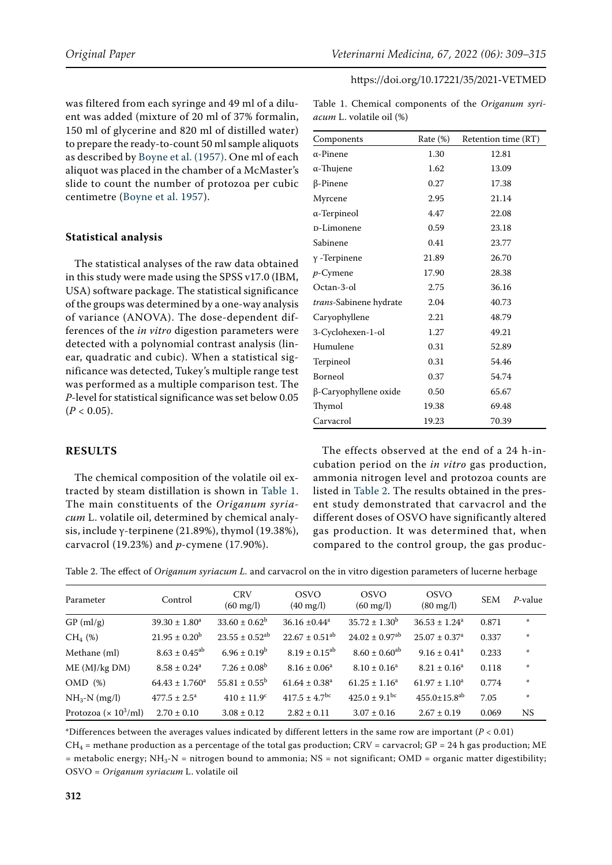was filtered from each syringe and 49 ml of a diluent was added (mixture of 20 ml of 37% formalin, 150 ml of glycerine and 820 ml of distilled water) to prepare the ready-to-count 50 ml sample aliquots as described by [Boyne et al. \(1957\)](#page-5-5). One ml of each aliquot was placed in the chamber of a McMaster's slide to count the number of protozoa per cubic centimetre ([Boyne et al. 1957](#page-5-5)).

## **Statistical analysis**

The statistical analyses of the raw data obtained in this study were made using the SPSS v17.0 (IBM, USA) software package. The statistical significance of the groups was determined by a one-way analysis of variance (ANOVA). The dose-dependent differences of the *in vitro* digestion parameters were detected with a polynomial contrast analysis (linear, quadratic and cubic). When a statistical significance was detected, Tukey's multiple range test was performed as a multiple comparison test. The *P*-level for statistical significance was set below 0.05  $(P < 0.05)$ .

# **RESULTS**

The chemical composition of the volatile oil extracted by steam distillation is shown in [Table 1](#page-3-0). The main constituents of the *Origanum syriacum* L. volatile oil, determined by chemical analysis, include γ-terpinene (21.89%), thymol (19.38%), carvacrol (19.23%) and *p*-cymene (17.90%).

| Components                     | Rate $(\%)$ | Retention time (RT) |
|--------------------------------|-------------|---------------------|
| $\alpha$ -Pinene               | 1.30        | 12.81               |
| α-Thujene                      | 1.62        | 13.09               |
| $\beta$ -Pinene                | 0.27        | 17.38               |
| Myrcene                        | 2.95        | 21.14               |
| $\alpha$ -Terpineol            | 4.47        | 22.08               |
| <b>D-Limonene</b>              | 0.59        | 23.18               |
| Sabinene                       | 0.41        | 23.77               |
| $\gamma$ -Terpinene            | 21.89       | 26.70               |
| $p$ -Cymene                    | 17.90       | 28.38               |
| Octan-3-ol                     | 2.75        | 36.16               |
| <i>trans-</i> Sabinene hydrate | 2.04        | 40.73               |
| Caryophyllene                  | 2.21        | 48.79               |
| 3-Cyclohexen-1-ol              | 1.27        | 49.21               |
| Humulene                       | 0.31        | 52.89               |
| Terpineol                      | 0.31        | 54.46               |
| Borneol                        | 0.37        | 54.74               |

# <span id="page-3-0"></span>Table 1. Chemical components of the *Origanum syriacum* L. volatile oil (%)

The effects observed at the end of a 24 h-incubation period on the *in vitro* gas production, ammonia nitrogen level and protozoa counts are listed in Table 2. The results obtained in the present study demonstrated that carvacrol and the different doses of OSVO have significantly altered gas production. It was determined that, when compared to the control group, the gas produc-

β-Caryophyllene oxide 0.50 65.67 Thymol 19.38 69.48 Carvacrol 19.23 70.39

| Parameter                                | Control                      | <b>CRV</b><br>$(60 \,\mathrm{mg/l})$ | <b>OSVO</b><br>$(40 \text{ mg/l})$ | <b>OSVO</b><br>$(60 \text{ mg/l})$ | <b>OSVO</b><br>$(80 \,\mathrm{mg/l})$ | <b>SEM</b> | $P$ -value    |
|------------------------------------------|------------------------------|--------------------------------------|------------------------------------|------------------------------------|---------------------------------------|------------|---------------|
| $GP$ (ml/g)                              | $39.30 \pm 1.80^a$           | $33.60 \pm 0.62^b$                   | $36.16 \pm 0.44^a$                 | $35.72 \pm 1.30^b$                 | $36.53 \pm 1.24^a$                    | 0.871      | $\Phi$        |
| $CH_4$ (%)                               | $21.95 \pm 0.20^{\rm b}$     | $23.55 \pm 0.52$ <sup>ab</sup>       | $22.67 \pm 0.51^{ab}$              | $24.02 \pm 0.97$ <sup>ab</sup>     | $25.07 \pm 0.37$ <sup>a</sup>         | 0.337      | $\frac{1}{2}$ |
| Methane (ml)                             | $8.63 \pm 0.45^{ab}$         | $6.96 \pm 0.19^b$                    | $8.19 \pm 0.15^{ab}$               | $8.60 \pm 0.60^{ab}$               | $9.16 \pm 0.41$ <sup>a</sup>          | 0.233      | $\frac{1}{2}$ |
| ME (MJ/kg DM)                            | $8.58 \pm 0.24$ <sup>a</sup> | $7.26 \pm 0.08^b$                    | $8.16 \pm 0.06^a$                  | $8.10 \pm 0.16^a$                  | $8.21 \pm 0.16^a$                     | 0.118      | $\frac{1}{2}$ |
| OMD(%)                                   | $64.43 \pm 1.760^a$          | $55.81 \pm 0.55^{\rm b}$             | $61.64 \pm 0.38$ <sup>a</sup>      | $61.25 \pm 1.16^a$                 | $61.97 \pm 1.10^a$                    | 0.774      | $\frac{1}{2}$ |
| $NH_3-N$ (mg/l)                          | $477.5 \pm 2.5^{\circ}$      | $410 \pm 11.9$ <sup>c</sup>          | $417.5 \pm 4.7$ <sup>bc</sup>      | $425.0 \pm 9.1^{\rm bc}$           | $455.0 \pm 15.8$ <sup>ab</sup>        | 7.05       | $\frac{1}{2}$ |
| Protozoa ( $\times$ 10 <sup>3</sup> /ml) | $2.70 \pm 0.10$              | $3.08 \pm 0.12$                      | $2.82 \pm 0.11$                    | $3.07 \pm 0.16$                    | $2.67 \pm 0.19$                       | 0.069      | <b>NS</b>     |

\*Differences between the averages values indicated by different letters in the same row are important (*P* < 0.01)  $CH_4$  = methane production as a percentage of the total gas production; CRV = carvacrol; GP = 24 h gas production; ME  $=$  metabolic energy; NH<sub>3</sub>-N  $=$  nitrogen bound to ammonia; NS  $=$  not significant; OMD  $=$  organic matter digestibility; OSVO = *Origanum syriacum* L. volatile oil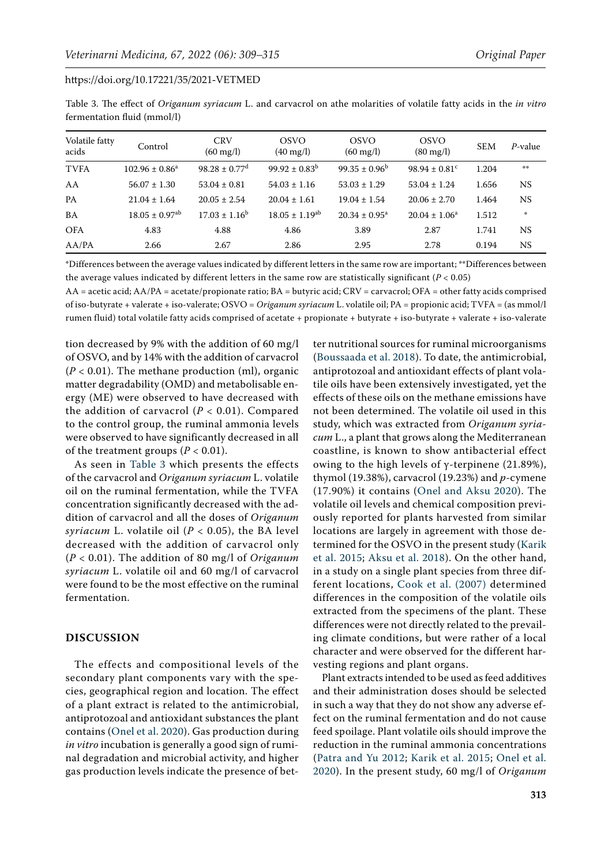| Volatile fatty<br>acids | Control                        | <b>CRV</b><br>$(60 \,\mathrm{mg/l})$ | <b>OSVO</b><br>$(40 \text{ mg/l})$ | <b>OSVO</b><br>$(60 \text{ mg/l})$ | <b>OSVO</b><br>$(80 \,\mathrm{mg/l})$ | <b>SEM</b> | P-value   |
|-------------------------|--------------------------------|--------------------------------------|------------------------------------|------------------------------------|---------------------------------------|------------|-----------|
| <b>TVFA</b>             | $102.96 \pm 0.86^a$            | $98.28 \pm 0.77$ <sup>d</sup>        | $99.92 \pm 0.83^{\rm b}$           | $99.35 \pm 0.96^{\rm b}$           | $98.94 \pm 0.81$ <sup>c</sup>         | 1.204      | $\pm\pm$  |
| AA                      | $56.07 \pm 1.30$               | $53.04 \pm 0.81$                     | $54.03 \pm 1.16$                   | $53.03 \pm 1.29$                   | $53.04 \pm 1.24$                      | 1.656      | <b>NS</b> |
| <b>PA</b>               | $21.04 \pm 1.64$               | $20.05 \pm 2.54$                     | $20.04 \pm 1.61$                   | $19.04 \pm 1.54$                   | $20.06 \pm 2.70$                      | 1.464      | NS        |
| <b>BA</b>               | $18.05 \pm 0.97$ <sup>ab</sup> | $17.03 \pm 1.16^b$                   | $18.05 \pm 1.19^{ab}$              | $20.34 \pm 0.95^{\text{a}}$        | $20.04 \pm 1.06^a$                    | 1.512      | $\Phi$    |
| <b>OFA</b>              | 4.83                           | 4.88                                 | 4.86                               | 3.89                               | 2.87                                  | 1.741      | NS.       |
| AA/PA                   | 2.66                           | 2.67                                 | 2.86                               | 2.95                               | 2.78                                  | 0.194      | <b>NS</b> |

<span id="page-4-0"></span>Table 3. The effect of *Origanum syriacum* L. and carvacrol on athe molarities of volatile fatty acids in the *in vitro*  fermentation fluid (mmol/l)

\*Differences between the average values indicated by different letters in the same row are important; \*\*Differences between the average values indicated by different letters in the same row are statistically significant (*P* < 0.05)

AA = acetic acid; AA/PA = acetate/propionate ratio; BA = butyric acid; CRV = carvacrol; OFA = other fatty acids comprised of iso-butyrate + valerate + iso-valerate; OSVO = *Origanum syriacum* L. volatile oil; PA = propionic acid; TVFA = (as mmol/l rumen fluid) total volatile fatty acids comprised of acetate + propionate + butyrate + iso-butyrate + valerate + iso-valerate

tion decreased by 9% with the addition of 60 mg/l of OSVO, and by 14% with the addition of carvacrol  $(P < 0.01)$ . The methane production (ml), organic matter degradability (OMD) and metabolisable energy (ME) were observed to have decreased with the addition of carvacrol  $(P < 0.01)$ . Compared to the control group, the ruminal ammonia levels were observed to have significantly decreased in all of the treatment groups  $(P < 0.01)$ .

As seen in [Table 3](#page-4-0) which presents the effects of the carvacrol and *Origanum syriacum* L. volatile oil on the ruminal fermentation, while the TVFA concentration significantly decreased with the addition of carvacrol and all the doses of *Origanum syriacum* L. volatile oil (*P* < 0.05), the BA level decreased with the addition of carvacrol only (*P* < 0.01). The addition of 80 mg/l of *Origanum syriacum* L. volatile oil and 60 mg/l of carvacrol were found to be the most effective on the ruminal fermentation.

## **DISCUSSION**

The effects and compositional levels of the secondary plant components vary with the species, geographical region and location. The effect of a plant extract is related to the antimicrobial, antiprotozoal and antioxidant substances the plant contains [\(Onel et al. 2020\)](#page-6-6). Gas production during *in vitro* incubation is generally a good sign of ruminal degradation and microbial activity, and higher gas production levels indicate the presence of better nutritional sources for ruminal microorganisms [\(Boussaada et al. 2018](#page-5-6)). To date, the antimicrobial, antiprotozoal and antioxidant effects of plant volatile oils have been extensively investigated, yet the effects of these oils on the methane emissions have not been determined. The volatile oil used in this study, which was extracted from *Origanum syriacum* L., a plant that grows along the Mediterranean coastline, is known to show antibacterial effect owing to the high levels of γ-terpinene (21.89%), thymol (19.38%), carvacrol (19.23%) and *p*-cymene (17.90%) it contains ([Onel and Aksu 2020](#page-6-5)). The volatile oil levels and chemical composition previously reported for plants harvested from similar locations are largely in agreement with those determined for the OSVO in the present study ([Karik](#page-6-12) [et al. 2015;](#page-6-12) [Aksu et al. 2018](#page-5-7)). On the other hand, in a study on a single plant species from three different locations, [Cook et al. \(2007\)](#page-6-13) determined differences in the composition of the volatile oils extracted from the specimens of the plant. These differences were not directly related to the prevailing climate conditions, but were rather of a local character and were observed for the different harvesting regions and plant organs.

Plant extracts intended to be used as feed additives and their administration doses should be selected in such a way that they do not show any adverse effect on the ruminal fermentation and do not cause feed spoilage. Plant volatile oils should improve the reduction in the ruminal ammonia concentrations [\(Patra and Yu 2012](#page-6-14); [Karik et al. 2015](#page-6-12); [Onel et al.](#page-6-6) [2020\)](#page-6-6). In the present study, 60 mg/l of *Origanum*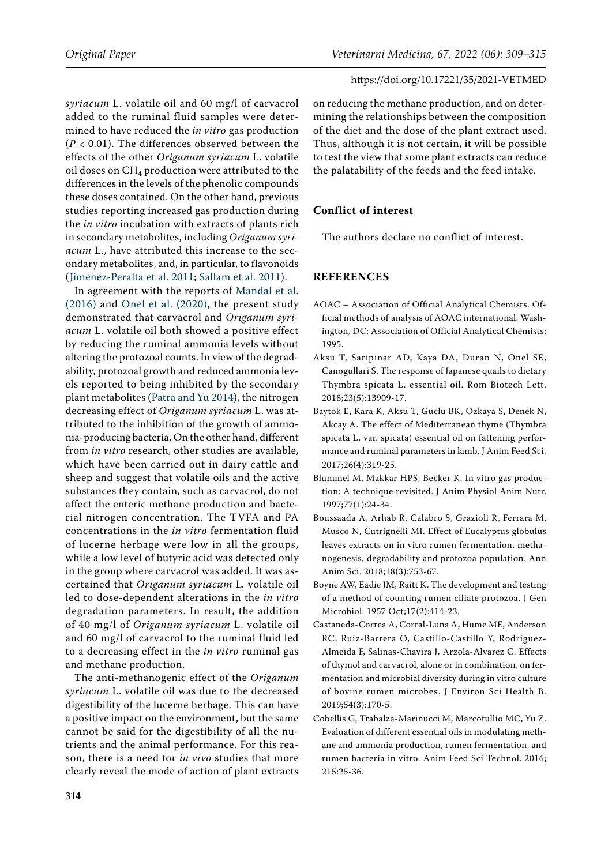*syriacum* L. volatile oil and 60 mg/l of carvacrol added to the ruminal fluid samples were determined to have reduced the *in vitro* gas production (*P* < 0.01). The differences observed between the effects of the other *Origanum syriacum* L. volatile oil doses on  $CH_4$  production were attributed to the differences in the levels of the phenolic compounds these doses contained. On the other hand, previous studies reporting increased gas production during the *in vitro* incubation with extracts of plants rich in secondary metabolites, including *Origanum syriacum* L., have attributed this increase to the secondary metabolites, and, in particular, to flavonoids ([Jimenez-Peralta et al. 2011;](#page-6-15) [Sallam et al. 2011](#page-6-16)).

In agreement with the reports of [Mandal et al.](#page-6-17)  [\(2016\)](#page-6-17) and [Onel et al. \(2020\),](#page-6-6) the present study demonstrated that carvacrol and *Origanum syriacum* L. volatile oil both showed a positive effect by reducing the ruminal ammonia levels without altering the protozoal counts. In view of the degradability, protozoal growth and reduced ammonia levels reported to being inhibited by the secondary plant metabolites [\(Patra and Yu 2014](#page-6-18)), the nitrogen decreasing effect of *Origanum syriacum* L. was attributed to the inhibition of the growth of ammonia-producing bacteria. On the other hand, different from *in vitro* research, other studies are available, which have been carried out in dairy cattle and sheep and suggest that volatile oils and the active substances they contain, such as carvacrol, do not affect the enteric methane production and bacterial nitrogen concentration. The TVFA and PA concentrations in the *in vitro* fermentation fluid of lucerne herbage were low in all the groups, while a low level of butyric acid was detected only in the group where carvacrol was added. It was ascertained that *Origanum syriacum* L*.* volatile oil led to dose-dependent alterations in the *in vitro* degradation parameters. In result, the addition of 40 mg/l of *Origanum syriacum* L. volatile oil and 60 mg/l of carvacrol to the ruminal fluid led to a decreasing effect in the *in vitro* ruminal gas and methane production.

The anti-methanogenic effect of the *Origanum syriacum* L. volatile oil was due to the decreased digestibility of the lucerne herbage. This can have a positive impact on the environment, but the same cannot be said for the digestibility of all the nutrients and the animal performance. For this reason, there is a need for *in vivo* studies that more clearly reveal the mode of action of plant extracts on reducing the methane production, and on determining the relationships between the composition of the diet and the dose of the plant extract used. Thus, although it is not certain, it will be possible to test the view that some plant extracts can reduce the palatability of the feeds and the feed intake.

# **Conflict of interest**

The authors declare no conflict of interest.

# **REFERENCES**

- <span id="page-5-3"></span>AOAC – Association of Official Analytical Chemists. Official methods of analysis of AOAC international. Washington, DC: Association of Official Analytical Chemists; 1995.
- <span id="page-5-7"></span>Aksu T, Saripinar AD, Kaya DA, Duran N, Onel SE, Canogullari S. The response of Japanese quails to dietary Thymbra spicata L. essential oil. Rom Biotech Lett. 2018;23(5):13909-17.
- <span id="page-5-0"></span>Baytok E, Kara K, Aksu T, Guclu BK, Ozkaya S, Denek N, Akcay A. The effect of Mediterranean thyme (Thymbra spicata L. var. spicata) essential oil on fattening performance and ruminal parameters in lamb. J Anim Feed Sci. 2017;26(4):319-25.
- <span id="page-5-4"></span>Blummel M, Makkar HPS, Becker K. In vitro gas production: A technique revisited. J Anim Physiol Anim Nutr. 1997;77(1):24-34.
- <span id="page-5-6"></span>Boussaada A, Arhab R, Calabro S, Grazioli R, Ferrara M, Musco N, Cutrignelli MI. Effect of Eucalyptus globulus leaves extracts on in vitro rumen fermentation, methanogenesis, degradability and protozoa population. Ann Anim Sci. 2018;18(3):753-67.
- <span id="page-5-5"></span>Boyne AW, Eadie JM, Raitt K. The development and testing of a method of counting rumen ciliate protozoa. J Gen Microbiol. 1957 Oct;17(2):414-23.
- <span id="page-5-2"></span>Castaneda-Correa A, Corral-Luna A, Hume ME, Anderson RC, Ruiz-Barrera O, Castillo-Castillo Y, Rodriguez-Almeida F, Salinas-Chavira J, Arzola-Alvarez C. Effects of thymol and carvacrol, alone or in combination, on fermentation and microbial diversity during in vitro culture of bovine rumen microbes. J Environ Sci Health B. 2019;54(3):170-5.
- <span id="page-5-1"></span>Cobellis G, Trabalza-Marinucci M, Marcotullio MC, Yu Z. Evaluation of different essential oils in modulating methane and ammonia production, rumen fermentation, and rumen bacteria in vitro. Anim Feed Sci Technol. 2016; 215:25-36.